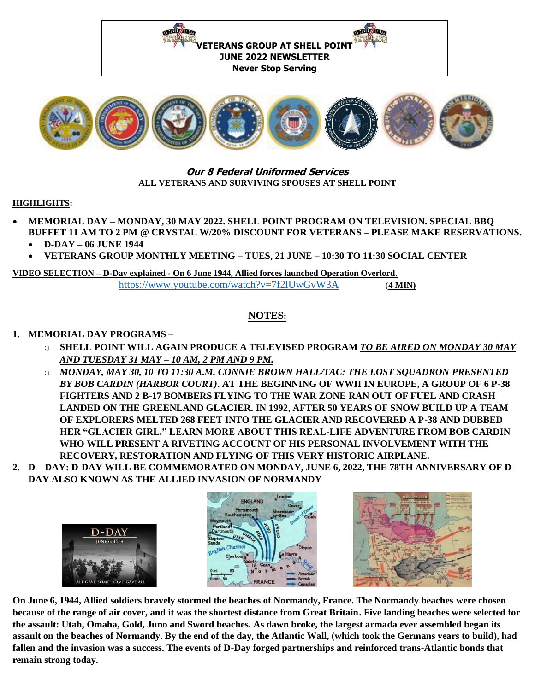



## **Our 8 Federal Uniformed Services ALL VETERANS AND SURVIVING SPOUSES AT SHELL POINT**

### **HIGHLIGHTS:**

- **MEMORIAL DAY – MONDAY, 30 MAY 2022. SHELL POINT PROGRAM ON TELEVISION. SPECIAL BBQ BUFFET 11 AM TO 2 PM @ CRYSTAL W/20% DISCOUNT FOR VETERANS – PLEASE MAKE RESERVATIONS.**
	- **D-DAY – 06 JUNE 1944**
	- **VETERANS GROUP MONTHLY MEETING – TUES, 21 JUNE – 10:30 TO 11:30 SOCIAL CENTER**

### **VIDEO SELECTION – D-Day explained - On 6 June 1944, Allied forces launched Operation Overlord.** <https://www.youtube.com/watch?v=7f2lUwGvW3A> (**4 MIN)**

# **NOTES:**

# **1. MEMORIAL DAY PROGRAMS –**

- o **SHELL POINT WILL AGAIN PRODUCE A TELEVISED PROGRAM** *TO BE AIRED ON MONDAY 30 MAY AND TUESDAY 31 MAY – 10 AM, 2 PM AND 9 PM.*
- o *MONDAY, MAY 30, 10 TO 11:30 A.M. CONNIE BROWN HALL/TAC: THE LOST SQUADRON PRESENTED BY BOB CARDIN (HARBOR COURT)***. AT THE BEGINNING OF WWII IN EUROPE, A GROUP OF 6 P-38 FIGHTERS AND 2 B-17 BOMBERS FLYING TO THE WAR ZONE RAN OUT OF FUEL AND CRASH LANDED ON THE GREENLAND GLACIER. IN 1992, AFTER 50 YEARS OF SNOW BUILD UP A TEAM OF EXPLORERS MELTED 268 FEET INTO THE GLACIER AND RECOVERED A P-38 AND DUBBED HER "GLACIER GIRL." LEARN MORE ABOUT THIS REAL-LIFE ADVENTURE FROM BOB CARDIN WHO WILL PRESENT A RIVETING ACCOUNT OF HIS PERSONAL INVOLVEMENT WITH THE RECOVERY, RESTORATION AND FLYING OF THIS VERY HISTORIC AIRPLANE.**
- **2. D – DAY: D-DAY WILL BE COMMEMORATED ON MONDAY, JUNE 6, 2022, THE 78TH ANNIVERSARY OF D-DAY ALSO KNOWN AS THE ALLIED INVASION OF NORMANDY**







**On June 6, 1944, Allied soldiers bravely stormed the beaches of Normandy, France. The Normandy beaches were chosen because of the range of air cover, and it was the shortest distance from Great Britain. Five landing beaches were selected for the assault: Utah, Omaha, Gold, Juno and Sword beaches. As dawn broke, the largest armada ever assembled began its assault on the beaches of Normandy. By the end of the day, the Atlantic Wall, (which took the Germans years to build), had fallen and the invasion was a success. The events of D-Day forged partnerships and reinforced trans-Atlantic bonds that remain strong today.**